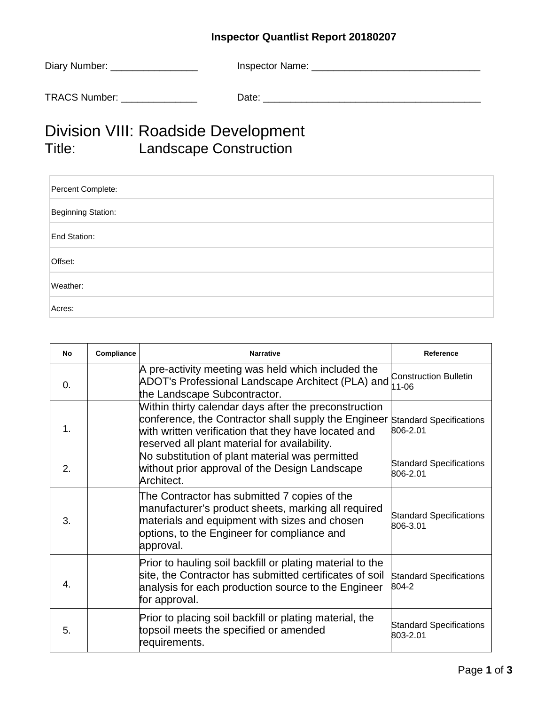## **Inspector Quantlist Report 20180207**

| Diary Number: _      | Inspector Name: |
|----------------------|-----------------|
| <b>TRACS Number:</b> | Date:           |

## Division VIII: Roadside Development<br>Title: Landscape Construction Landscape Construction

| Percent Complete:  |
|--------------------|
| Beginning Station: |
| End Station:       |
| Offset:            |
| Weather:           |
| Acres:             |

| No             | Compliance | <b>Narrative</b>                                                                                                                                                                                                       | Reference                                  |
|----------------|------------|------------------------------------------------------------------------------------------------------------------------------------------------------------------------------------------------------------------------|--------------------------------------------|
| $\Omega$ .     |            | A pre-activity meeting was held which included the<br>ADOT's Professional Landscape Architect (PLA) and<br>the Landscape Subcontractor.                                                                                | <b>Construction Bulletin</b><br>$11 - 06$  |
| $\mathbf 1$ .  |            | Within thirty calendar days after the preconstruction<br>conference, the Contractor shall supply the Engineer<br>with written verification that they have located and<br>reserved all plant material for availability. | <b>Standard Specifications</b><br>806-2.01 |
| 2.             |            | No substitution of plant material was permitted<br>without prior approval of the Design Landscape<br>Architect.                                                                                                        | <b>Standard Specifications</b><br>806-2.01 |
| 3.             |            | The Contractor has submitted 7 copies of the<br>manufacturer's product sheets, marking all required<br>materials and equipment with sizes and chosen<br>options, to the Engineer for compliance and<br>approval.       | <b>Standard Specifications</b><br>806-3.01 |
| $\mathbf{4}$ . |            | Prior to hauling soil backfill or plating material to the<br>site, the Contractor has submitted certificates of soil<br>analysis for each production source to the Engineer<br>for approval.                           | <b>Standard Specifications</b><br>804-2    |
| 5.             |            | Prior to placing soil backfill or plating material, the<br>topsoil meets the specified or amended<br>requirements.                                                                                                     | <b>Standard Specifications</b><br>803-2.01 |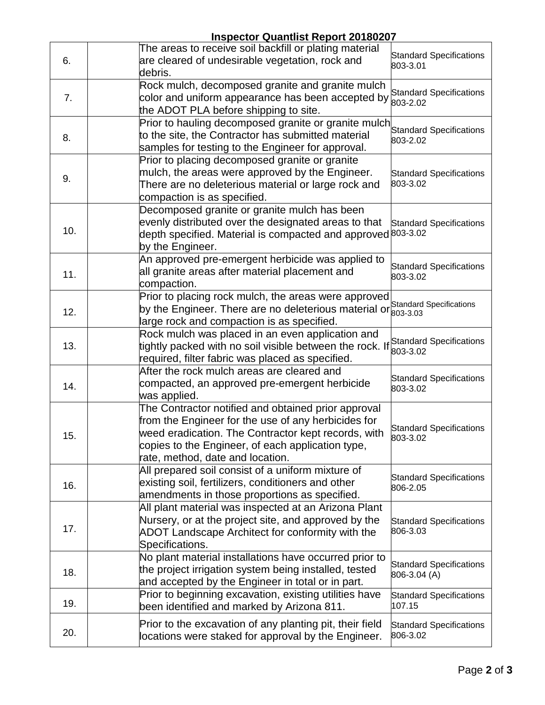|     | <b>Inspector Quantlist Report 20180207</b>                                                                                                                                                                                                                 |                                                |  |  |
|-----|------------------------------------------------------------------------------------------------------------------------------------------------------------------------------------------------------------------------------------------------------------|------------------------------------------------|--|--|
| 6.  | The areas to receive soil backfill or plating material<br>are cleared of undesirable vegetation, rock and<br>debris.                                                                                                                                       | <b>Standard Specifications</b><br>803-3.01     |  |  |
| 7.  | Rock mulch, decomposed granite and granite mulch<br>color and uniform appearance has been accepted by<br>the ADOT PLA before shipping to site.                                                                                                             | <b>Standard Specifications</b><br>803-2.02     |  |  |
| 8.  | Prior to hauling decomposed granite or granite mulch<br>to the site, the Contractor has submitted material<br>samples for testing to the Engineer for approval.                                                                                            | <b>Standard Specifications</b><br>803-2.02     |  |  |
| 9.  | Prior to placing decomposed granite or granite<br>mulch, the areas were approved by the Engineer.<br>There are no deleterious material or large rock and<br>compaction is as specified.                                                                    | <b>Standard Specifications</b><br>803-3.02     |  |  |
| 10. | Decomposed granite or granite mulch has been<br>evenly distributed over the designated areas to that<br>depth specified. Material is compacted and approved 803-3.02<br>by the Engineer.                                                                   | <b>Standard Specifications</b>                 |  |  |
| 11. | An approved pre-emergent herbicide was applied to<br>all granite areas after material placement and<br>compaction.                                                                                                                                         | <b>Standard Specifications</b><br>803-3.02     |  |  |
| 12. | Prior to placing rock mulch, the areas were approved<br>by the Engineer. There are no deleterious material or<br>large rock and compaction is as specified.                                                                                                | Standard Specifications<br>803-3.03            |  |  |
| 13. | Rock mulch was placed in an even application and<br>tightly packed with no soil visible between the rock. If<br>required, filter fabric was placed as specified.                                                                                           | <b>Standard Specifications</b><br>803-3.02     |  |  |
| 14. | After the rock mulch areas are cleared and<br>compacted, an approved pre-emergent herbicide<br>was applied.                                                                                                                                                | <b>Standard Specifications</b><br>803-3.02     |  |  |
| 15. | The Contractor notified and obtained prior approval<br>from the Engineer for the use of any herbicides for<br>weed eradication. The Contractor kept records, with<br>copies to the Engineer, of each application type,<br>rate, method, date and location. | <b>Standard Specifications</b><br>803-3.02     |  |  |
| 16. | All prepared soil consist of a uniform mixture of<br>existing soil, fertilizers, conditioners and other<br>amendments in those proportions as specified.                                                                                                   | <b>Standard Specifications</b><br>806-2.05     |  |  |
| 17. | All plant material was inspected at an Arizona Plant<br>Nursery, or at the project site, and approved by the<br>ADOT Landscape Architect for conformity with the<br>Specifications.                                                                        | <b>Standard Specifications</b><br>806-3.03     |  |  |
| 18. | No plant material installations have occurred prior to<br>the project irrigation system being installed, tested<br>and accepted by the Engineer in total or in part.                                                                                       | <b>Standard Specifications</b><br>806-3.04 (A) |  |  |
| 19. | Prior to beginning excavation, existing utilities have<br>been identified and marked by Arizona 811.                                                                                                                                                       | <b>Standard Specifications</b><br>107.15       |  |  |
| 20. | Prior to the excavation of any planting pit, their field<br>locations were staked for approval by the Engineer.                                                                                                                                            | <b>Standard Specifications</b><br>806-3.02     |  |  |